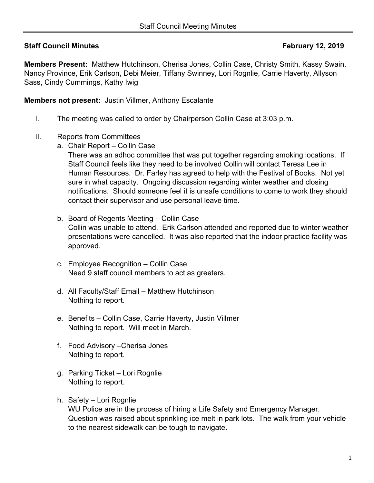## **Staff Council Minutes <b>February 12, 2019**

**Members Present:** Matthew Hutchinson, Cherisa Jones, Collin Case, Christy Smith, Kassy Swain, Nancy Province, Erik Carlson, Debi Meier, Tiffany Swinney, Lori Rognlie, Carrie Haverty, Allyson Sass, Cindy Cummings, Kathy Iwig

**Members not present:** Justin Villmer, Anthony Escalante

- I. The meeting was called to order by Chairperson Collin Case at 3:03 p.m.
- II. Reports from Committees
	- a. Chair Report Collin Case

There was an adhoc committee that was put together regarding smoking locations. If Staff Council feels like they need to be involved Collin will contact Teresa Lee in Human Resources. Dr. Farley has agreed to help with the Festival of Books. Not yet sure in what capacity. Ongoing discussion regarding winter weather and closing notifications. Should someone feel it is unsafe conditions to come to work they should contact their supervisor and use personal leave time.

- b. Board of Regents Meeting Collin Case Collin was unable to attend. Erik Carlson attended and reported due to winter weather presentations were cancelled. It was also reported that the indoor practice facility was approved.
- c. Employee Recognition Collin Case Need 9 staff council members to act as greeters.
- d. All Faculty/Staff Email Matthew Hutchinson Nothing to report.
- e. Benefits Collin Case, Carrie Haverty, Justin Villmer Nothing to report. Will meet in March.
- f. Food Advisory –Cherisa Jones Nothing to report.
- g. Parking Ticket Lori Rognlie Nothing to report.
- h. Safety Lori Rognlie WU Police are in the process of hiring a Life Safety and Emergency Manager. Question was raised about sprinkling ice melt in park lots. The walk from your vehicle to the nearest sidewalk can be tough to navigate.